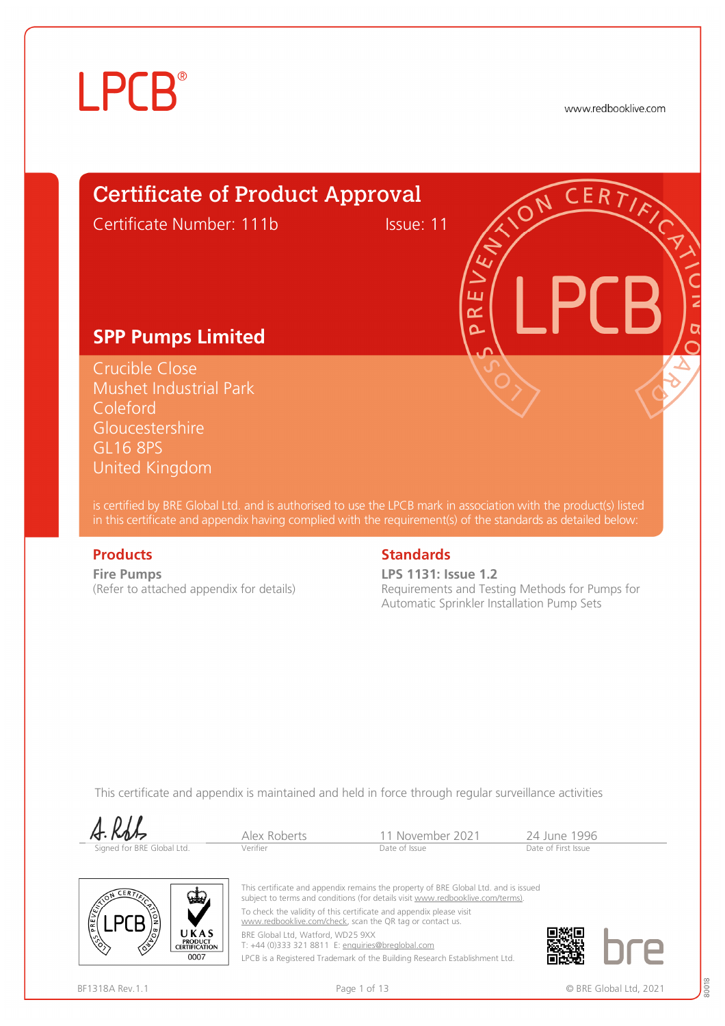www.redbooklive.com

# Certificate of Product Approval

Certificate Number: 111b Issue: 11

ய œ Ò

#### **SPP Pumps Limited**

Crucible Close Mushet Industrial Park Coleford **Gloucestershire** GL16 8PS United Kingdom

is certified by BRE Global Ltd. and is authorised to use the LPCB mark in association with the product(s) listed in this certificate and appendix having complied with the requirement(s) of the standards as detailed below:

**Fire Pumps**  (Refer to attached appendix for details)

#### **Products** Standards **Standards**

**LPS 1131: Issue 1.2** Requirements and Testing Methods for Pumps for Automatic Sprinkler Installation Pump Sets

This certificate and appendix is maintained and held in force through regular surveillance activities

| A. KbL                     | Alex Roberts | 11 November 2021 | 24 June 1996        |
|----------------------------|--------------|------------------|---------------------|
| Signed for BRE Global Ltd. | Verifier     | Date of Issue    | Date of First Issue |



This certificate and appendix remains the property of BRE Global Ltd. and is issued subject to terms and conditions (for details visit [www.redbooklive.com/terms\).](http://www.redbooklive.com/terms)) To check the validity of this certificate and appendix please visit [www.redbooklive.com/check,](http://www.redbooklive.com/check) scan the QR tag or contact us.

BRE Global Ltd, Watford, WD25 9XX

T: +44 (0)333 321 8811 E: [enquiries@breglobal.com](mailto:enquiries@breglobal.com) LPCB is a Registered Trademark of the Building Research Establishment Ltd.



 $\sqrt{10}$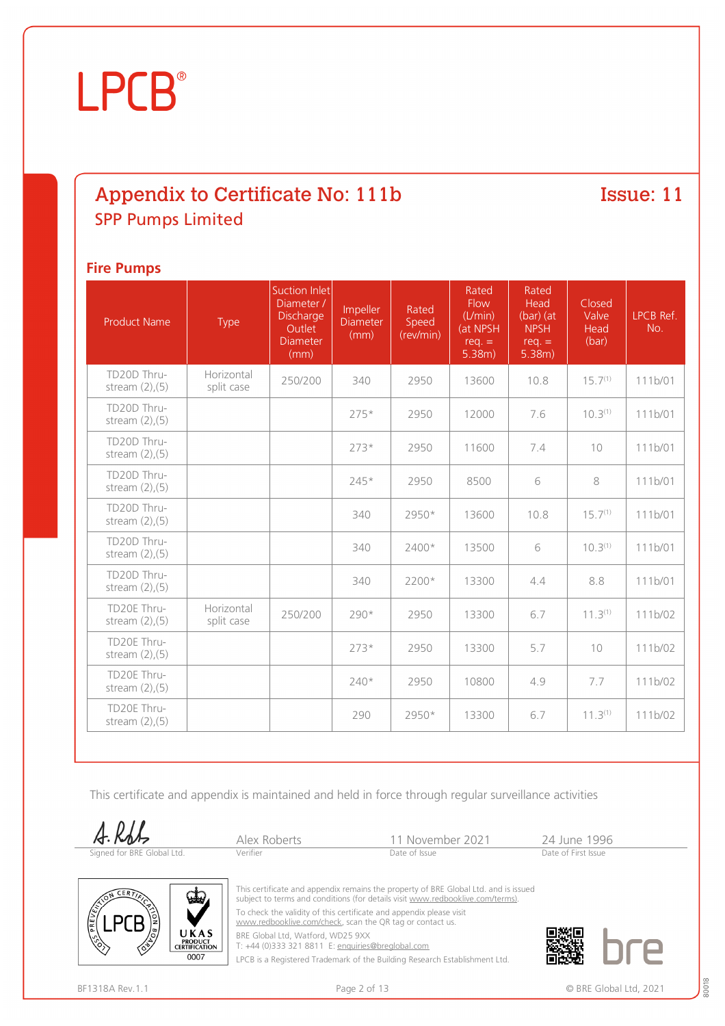### Appendix to Certificate No: 111b SPP Pumps Limited

#### Issue: 11

#### **Fire Pumps**

| <b>Product Name</b>                 | <b>Type</b>              | <b>Suction Inlet</b><br>Diameter /<br>Discharge<br>Outlet<br><b>Diameter</b><br>(mm) | Impeller<br><b>Diameter</b><br>(mm) | Rated<br>Speed<br>(rev/min) | Rated<br>Flow<br>(L/min)<br>(at NPSH<br>$req. =$<br>5.38m) | Rated<br>Head<br>$(bar)$ (at<br><b>NPSH</b><br>$req. =$<br>5.38m) | Closed<br>Valve<br>Head<br>(bar) | LPCB Ref.<br>No. |
|-------------------------------------|--------------------------|--------------------------------------------------------------------------------------|-------------------------------------|-----------------------------|------------------------------------------------------------|-------------------------------------------------------------------|----------------------------------|------------------|
| TD20D Thru-<br>stream $(2)$ , $(5)$ | Horizontal<br>split case | 250/200                                                                              | 340                                 | 2950                        | 13600                                                      | 10.8                                                              | $15.7^{(1)}$                     | 111b/01          |
| TD20D Thru-<br>stream $(2)$ , $(5)$ |                          |                                                                                      | $275*$                              | 2950                        | 12000                                                      | 7.6                                                               | 10.3 <sup>(1)</sup>              | 111b/01          |
| TD20D Thru-<br>stream $(2)$ , $(5)$ |                          |                                                                                      | $273*$                              | 2950                        | 11600                                                      | 7.4                                                               | 10                               | 111b/01          |
| TD20D Thru-<br>stream $(2)$ , $(5)$ |                          |                                                                                      | $245*$                              | 2950                        | 8500                                                       | 6                                                                 | 8                                | 111b/01          |
| TD20D Thru-<br>stream $(2)$ , $(5)$ |                          |                                                                                      | 340                                 | 2950*                       | 13600                                                      | 10.8                                                              | $15.7^{(1)}$                     | 111b/01          |
| TD20D Thru-<br>stream $(2)$ , $(5)$ |                          |                                                                                      | 340                                 | 2400*                       | 13500                                                      | 6                                                                 | $10.3^{(1)}$                     | 111b/01          |
| TD20D Thru-<br>stream $(2)$ , $(5)$ |                          |                                                                                      | 340                                 | 2200*                       | 13300                                                      | 4.4                                                               | 8.8                              | 111b/01          |
| TD20E Thru-<br>stream $(2)$ , $(5)$ | Horizontal<br>split case | 250/200                                                                              | $290*$                              | 2950                        | 13300                                                      | 6.7                                                               | $11.3^{(1)}$                     | 111b/02          |
| TD20E Thru-<br>stream $(2)$ , $(5)$ |                          |                                                                                      | $273*$                              | 2950                        | 13300                                                      | 5.7                                                               | 10                               | 111b/02          |
| TD20E Thru-<br>stream $(2)$ , $(5)$ |                          |                                                                                      | $240*$                              | 2950                        | 10800                                                      | 4.9                                                               | 7.7                              | 111b/02          |
| TD20E Thru-<br>stream $(2)$ , $(5)$ |                          |                                                                                      | 290                                 | 2950*                       | 13300                                                      | 6.7                                                               | $11.3^{(1)}$                     | 111b/02          |

This certificate and appendix is maintained and held in force through regular surveillance activities

 $A. Kb$ 

| A. RbL                     | Alex Roberts | 11 November 2021 | 24 June 199         |
|----------------------------|--------------|------------------|---------------------|
| Signed for BRE Global Ltd. | Verifier     | Date of Issue    | Date of First Issue |



This certificate and appendix remains the property of BRE Global Ltd. and is issued subject to terms and conditions (for details visit [www.redbooklive.com/terms\)](http://www.redbooklive.com/terms)). To check the validity of this certificate and appendix please visit

[www.redbooklive.com/check,](http://www.redbooklive.com/check) scan the QR tag or contact us.

BRE Global Ltd, Watford, WD25 9XX

T: +44 (0)333 321 8811 E: [enquiries@breglobal.com](mailto:enquiries@breglobal.com)

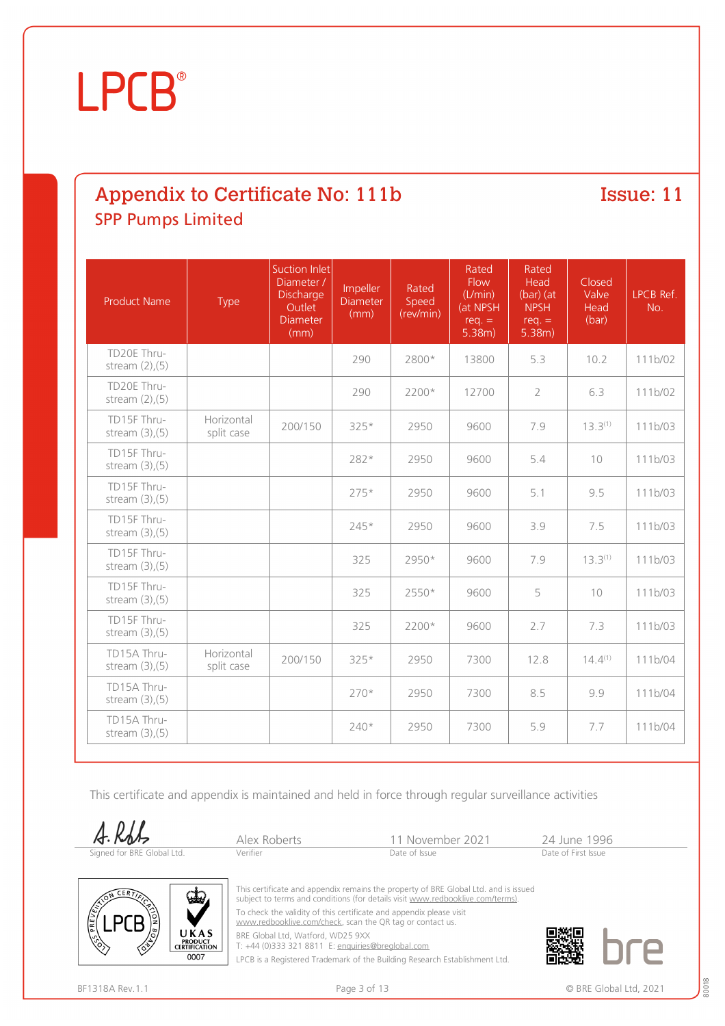# Appendix to Certificate No: 111b SPP Pumps Limited

Issue: 11

| <b>Product Name</b>                 | Type                     | <b>Suction Inlet</b><br>Diameter /<br>Discharge<br>Outlet<br>Diameter<br>(mm) | Impeller<br><b>Diameter</b><br>(mm) | Rated<br>Speed<br>(rev/min) | Rated<br>Flow<br>(L/min)<br>(at NPSH<br>$req. =$<br>5.38m) | Rated<br>Head<br>$(bar)$ (at<br><b>NPSH</b><br>$req. =$<br>5.38m) | Closed<br>Valve<br>Head<br>(bar) | LPCB Ref.<br>No. |
|-------------------------------------|--------------------------|-------------------------------------------------------------------------------|-------------------------------------|-----------------------------|------------------------------------------------------------|-------------------------------------------------------------------|----------------------------------|------------------|
| TD20E Thru-<br>stream $(2)$ , $(5)$ |                          |                                                                               | 290                                 | 2800*                       | 13800                                                      | 5.3                                                               | 10.2                             | 111b/02          |
| TD20E Thru-<br>stream $(2)$ , $(5)$ |                          |                                                                               | 290                                 | 2200*                       | 12700                                                      | $\overline{2}$                                                    | 6.3                              | 111b/02          |
| TD15F Thru-<br>stream $(3)$ , $(5)$ | Horizontal<br>split case | 200/150                                                                       | 325*                                | 2950                        | 9600                                                       | 7.9                                                               | $13.3^{(1)}$                     | 111b/03          |
| TD15F Thru-<br>stream $(3)$ , $(5)$ |                          |                                                                               | 282*                                | 2950                        | 9600                                                       | 5.4                                                               | 10                               | 111b/03          |
| TD15F Thru-<br>stream $(3)$ , $(5)$ |                          |                                                                               | $275*$                              | 2950                        | 9600                                                       | 5.1                                                               | 9.5                              | 111b/03          |
| TD15F Thru-<br>stream $(3)$ , $(5)$ |                          |                                                                               | 245*                                | 2950                        | 9600                                                       | 3.9                                                               | 7.5                              | 111b/03          |
| TD15F Thru-<br>stream $(3)$ , $(5)$ |                          |                                                                               | 325                                 | 2950*                       | 9600                                                       | 7.9                                                               | $13.3^{(1)}$                     | 111b/03          |
| TD15F Thru-<br>stream $(3)$ , $(5)$ |                          |                                                                               | 325                                 | 2550*                       | 9600                                                       | 5                                                                 | 10                               | 111b/03          |
| TD15F Thru-<br>stream $(3)$ , $(5)$ |                          |                                                                               | 325                                 | 2200*                       | 9600                                                       | 2.7                                                               | 7.3                              | 111b/03          |
| TD15A Thru-<br>stream $(3)$ , $(5)$ | Horizontal<br>split case | 200/150                                                                       | 325*                                | 2950                        | 7300                                                       | 12.8                                                              | $14.4^{(1)}$                     | 111b/04          |
| TD15A Thru-<br>stream $(3)$ , $(5)$ |                          |                                                                               | $270*$                              | 2950                        | 7300                                                       | 8.5                                                               | 9.9                              | 111b/04          |
| TD15A Thru-<br>stream $(3)$ , $(5)$ |                          |                                                                               | 240*                                | 2950                        | 7300                                                       | 5.9                                                               | 7.7                              | 111b/04          |

This certificate and appendix is maintained and held in force through regular surveillance activities

 $A.RbL$ Signed for BRE Globa

|         | Alex Rol |
|---------|----------|
| al Ltd. | Verifier |

Perts 11 November 2021 24 June 1996<br>Date of Issue Date of Issue



This certificate and appendix remains the property of BRE Global Ltd. and is issued subject to terms and conditions (for details visit [www.redbooklive.com/terms\)](http://www.redbooklive.com/terms)).

To check the validity of this certificate and appendix please visit [www.redbooklive.com/check,](http://www.redbooklive.com/check) scan the QR tag or contact us.

BRE Global Ltd, Watford, WD25 9XX

T: +44 (0)333 321 8811 E: [enquiries@breglobal.com](mailto:enquiries@breglobal.com)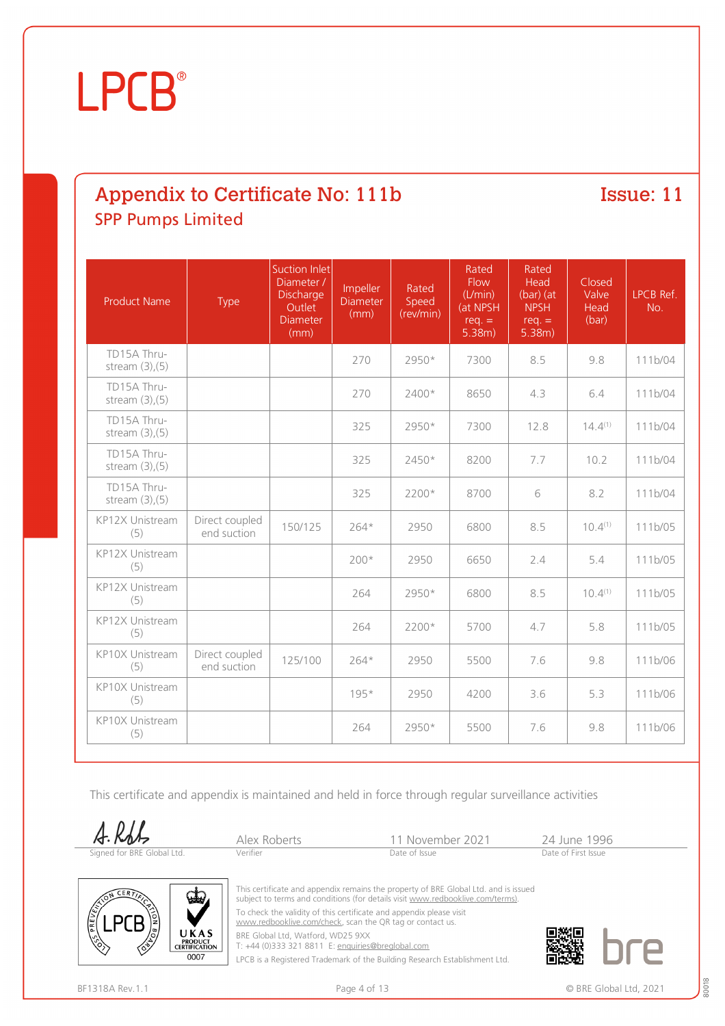# Appendix to Certificate No: 111b SPP Pumps Limited

Issue: 11

| <b>Product Name</b>                 | Type                          | Suction Inlet<br>Diameter /<br><b>Discharge</b><br>Outlet<br>Diameter<br>(mm) | Impeller<br><b>Diameter</b><br>(mm) | Rated<br>Speed<br>(rev/min) | Rated<br><b>Flow</b><br>(L/min)<br>(at NPSH<br>$req. =$<br>5.38m) | Rated<br>Head<br>$(bar)$ (at<br><b>NPSH</b><br>$req. =$<br>5.38m) | Closed<br>Valve<br>Head<br>(bar) | LPCB Ref.<br>No. |
|-------------------------------------|-------------------------------|-------------------------------------------------------------------------------|-------------------------------------|-----------------------------|-------------------------------------------------------------------|-------------------------------------------------------------------|----------------------------------|------------------|
| TD15A Thru-<br>stream $(3)$ , $(5)$ |                               |                                                                               | 270                                 | 2950*                       | 7300                                                              | 8.5                                                               | 9.8                              | 111b/04          |
| TD15A Thru-<br>stream $(3)$ , $(5)$ |                               |                                                                               | 270                                 | 2400*                       | 8650                                                              | 4.3                                                               | 6.4                              | 111b/04          |
| TD15A Thru-<br>stream $(3)$ , $(5)$ |                               |                                                                               | 325                                 | 2950*                       | 7300                                                              | 12.8                                                              | $14.4^{(1)}$                     | 111b/04          |
| TD15A Thru-<br>stream $(3)$ , $(5)$ |                               |                                                                               | 325                                 | 2450*                       | 8200                                                              | 7.7                                                               | 10.2                             | 111b/04          |
| TD15A Thru-<br>stream $(3)$ , $(5)$ |                               |                                                                               | 325                                 | 2200*                       | 8700                                                              | 6                                                                 | 8.2                              | 111b/04          |
| KP12X Unistream<br>(5)              | Direct coupled<br>end suction | 150/125                                                                       | $264*$                              | 2950                        | 6800                                                              | 8.5                                                               | $10.4^{(1)}$                     | 111b/05          |
| KP12X Unistream<br>(5)              |                               |                                                                               | $200*$                              | 2950                        | 6650                                                              | 2.4                                                               | 5.4                              | 111b/05          |
| KP12X Unistream<br>(5)              |                               |                                                                               | 264                                 | 2950*                       | 6800                                                              | 8.5                                                               | $10.4^{(1)}$                     | 111b/05          |
| KP12X Unistream<br>(5)              |                               |                                                                               | 264                                 | 2200*                       | 5700                                                              | 4.7                                                               | 5.8                              | 111b/05          |
| KP10X Unistream<br>(5)              | Direct coupled<br>end suction | 125/100                                                                       | $264*$                              | 2950                        | 5500                                                              | 7.6                                                               | 9.8                              | 111b/06          |
| KP10X Unistream<br>(5)              |                               |                                                                               | 195*                                | 2950                        | 4200                                                              | 3.6                                                               | 5.3                              | 111b/06          |
| KP10X Unistream<br>(5)              |                               |                                                                               | 264                                 | 2950*                       | 5500                                                              | 7.6                                                               | 9.8                              | 111b/06          |

This certificate and appendix is maintained and held in force through regular surveillance activities

A.Rdt



Alex Roberts 11 November 2021 24 June 1996<br>
Verifier Date of Issue Date of Issue



This certificate and appendix remains the property of BRE Global Ltd. and is issued subject to terms and conditions (for details visit [www.redbooklive.com/terms\)](http://www.redbooklive.com/terms)).

To check the validity of this certificate and appendix please visit [www.redbooklive.com/check,](http://www.redbooklive.com/check) scan the QR tag or contact us.

BRE Global Ltd, Watford, WD25 9XX T: +44 (0)333 321 8811 E: [enquiries@breglobal.com](mailto:enquiries@breglobal.com)

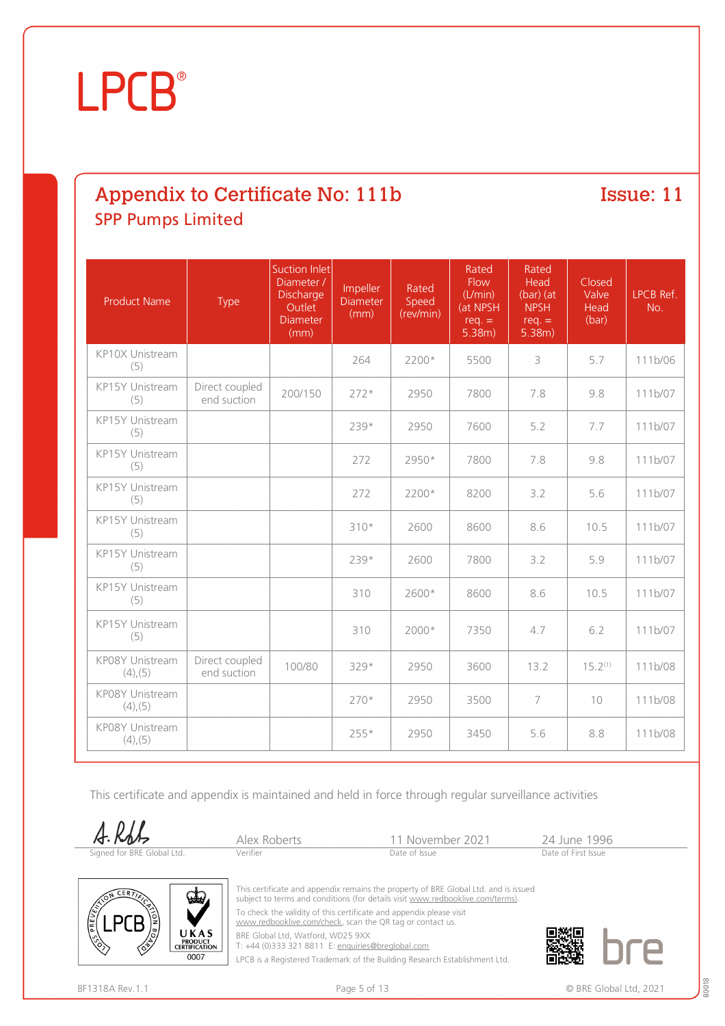# Appendix to Certificate No: 111b SPP Pumps Limited

Issue: 11

| <b>Product Name</b>              | <b>Type</b>                   | <b>Suction Inlet</b><br>Diameter /<br><b>Discharge</b><br>Outlet<br><b>Diameter</b><br>(mm) | Impeller<br><b>Diameter</b><br>(mm) | Rated<br>Speed<br>(rev/min) | Rated<br>Flow<br>(L/min)<br>(at NPSH<br>$req. =$<br>5.38m) | Rated<br>Head<br>$(bar)$ (at<br><b>NPSH</b><br>$req. =$<br>5.38m) | Closed<br>Valve<br>Head<br>(bar) | LPCB Ref.<br>No. |
|----------------------------------|-------------------------------|---------------------------------------------------------------------------------------------|-------------------------------------|-----------------------------|------------------------------------------------------------|-------------------------------------------------------------------|----------------------------------|------------------|
| KP10X Unistream<br>(5)           |                               |                                                                                             | 264                                 | 2200*                       | 5500                                                       | 3                                                                 | 5.7                              | 111b/06          |
| KP15Y Unistream<br>(5)           | Direct coupled<br>end suction | 200/150                                                                                     | $272*$                              | 2950                        | 7800                                                       | 7.8                                                               | 9.8                              | 111b/07          |
| KP15Y Unistream<br>(5)           |                               |                                                                                             | 239*                                | 2950                        | 7600                                                       | 5.2                                                               | 7.7                              | 111b/07          |
| KP15Y Unistream<br>(5)           |                               |                                                                                             | 272                                 | 2950*                       | 7800                                                       | 7.8                                                               | 9.8                              | 111b/07          |
| KP15Y Unistream<br>(5)           |                               |                                                                                             | 272                                 | 2200*                       | 8200                                                       | 3.2                                                               | 5.6                              | 111b/07          |
| KP15Y Unistream<br>(5)           |                               |                                                                                             | $310*$                              | 2600                        | 8600                                                       | 8.6                                                               | 10.5                             | 111b/07          |
| KP15Y Unistream<br>(5)           |                               |                                                                                             | 239*                                | 2600                        | 7800                                                       | 3.2                                                               | 5.9                              | 111b/07          |
| KP15Y Unistream<br>(5)           |                               |                                                                                             | 310                                 | 2600*                       | 8600                                                       | 8.6                                                               | 10.5                             | 111b/07          |
| KP15Y Unistream<br>(5)           |                               |                                                                                             | 310                                 | 2000*                       | 7350                                                       | 4.7                                                               | 6.2                              | 111b/07          |
| KP08Y Unistream<br>$(4)$ , (5)   | Direct coupled<br>end suction | 100/80                                                                                      | 329*                                | 2950                        | 3600                                                       | 13.2                                                              | $15.2^{(1)}$                     | 111b/08          |
| KP08Y Unistream<br>$(4)$ , $(5)$ |                               |                                                                                             | 270*                                | 2950                        | 3500                                                       | $\overline{7}$                                                    | 10                               | 111b/08          |
| KP08Y Unistream<br>$(4)$ , (5)   |                               |                                                                                             | 255*                                | 2950                        | 3450                                                       | 5.6                                                               | 8.8                              | 111b/08          |

This certificate and appendix is maintained and held in force through regular surveillance activities



| A.Kob                      | Alex Roberts | 11 November 2021 | 24 June 199         |
|----------------------------|--------------|------------------|---------------------|
| Signed for BRE Global Ltd. | Verifier     | Date of Issue    | Date of First Issue |



This certificate and appendix remains the property of BRE Global Ltd. and is issued subject to terms and conditions (for details visit [www.redbooklive.com/terms\)](http://www.redbooklive.com/terms)). To check the validity of this certificate and appendix please visit

[www.redbooklive.com/check,](http://www.redbooklive.com/check) scan the QR tag or contact us.

BRE Global Ltd, Watford, WD25 9XX

T: +44 (0)333 321 8811 E: [enquiries@breglobal.com](mailto:enquiries@breglobal.com)

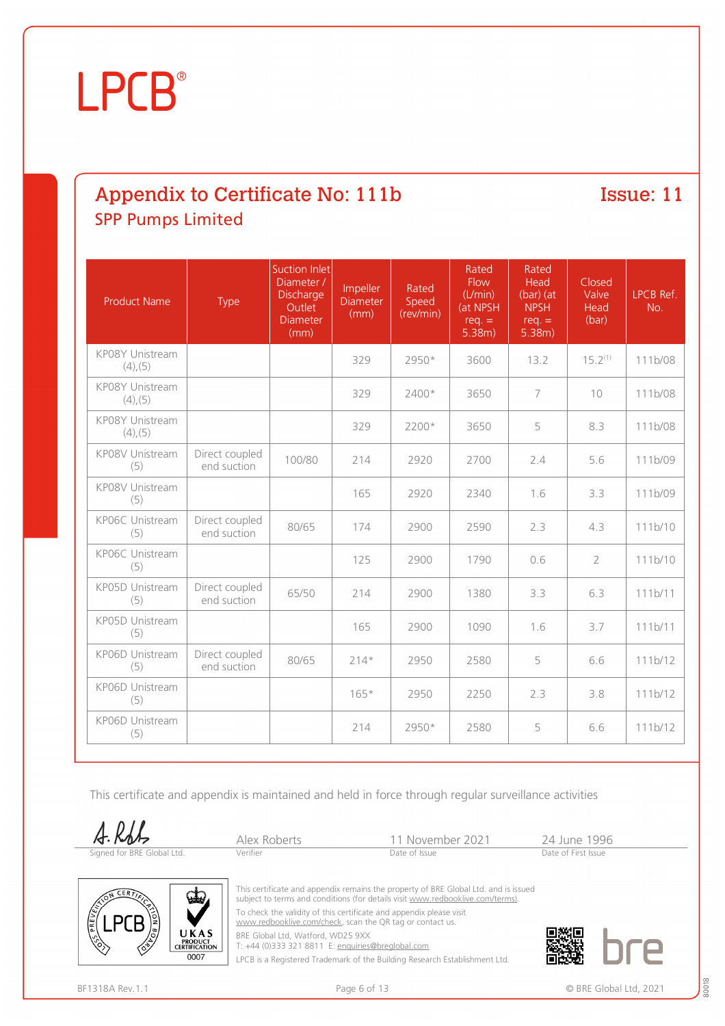# Appendix to Certificate No: 111b SPP Pumps Limited

Issue: 11

| <b>Product Name</b>              | Type                          | Suction Inlet<br>Diameter /<br><b>Discharge</b><br>Outlet<br><b>Diameter</b><br>(mm) | Impeller<br>Diameter<br>(mm) | Rated<br>Speed<br>(rev/min) | Rated<br><b>Flow</b><br>(L/min)<br>(at NPSH<br>$req. =$<br>5.38m) | Rated<br>Head<br>$(bar)$ (at<br><b>NPSH</b><br>$req. =$<br>5.38m) | <b>Closed</b><br>Valve<br>Head<br>(bar) | LPCB Ref.<br>No. |
|----------------------------------|-------------------------------|--------------------------------------------------------------------------------------|------------------------------|-----------------------------|-------------------------------------------------------------------|-------------------------------------------------------------------|-----------------------------------------|------------------|
| KP08Y Unistream<br>$(4)$ , (5)   |                               |                                                                                      | 329                          | 2950*                       | 3600                                                              | 13.2                                                              | $15.2^{(1)}$                            | 111b/08          |
| KP08Y Unistream<br>$(4)$ , (5)   |                               |                                                                                      | 329                          | 2400*                       | 3650                                                              | $\overline{7}$                                                    | 10                                      | 111b/08          |
| KP08Y Unistream<br>$(4)$ , $(5)$ |                               |                                                                                      | 329                          | 2200*                       | 3650                                                              | 5                                                                 | 8.3                                     | 111b/08          |
| KP08V Unistream<br>(5)           | Direct coupled<br>end suction | 100/80                                                                               | 214                          | 2920                        | 2700                                                              | 2.4                                                               | 5.6                                     | 111b/09          |
| KP08V Unistream<br>(5)           |                               |                                                                                      | 165                          | 2920                        | 2340                                                              | 1.6                                                               | 3.3                                     | 111b/09          |
| KP06C Unistream<br>(5)           | Direct coupled<br>end suction | 80/65                                                                                | 174                          | 2900                        | 2590                                                              | 2.3                                                               | 4.3                                     | 111b/10          |
| KP06C Unistream<br>(5)           |                               |                                                                                      | 125                          | 2900                        | 1790                                                              | 0.6                                                               | $\overline{2}$                          | 111b/10          |
| KP05D Unistream<br>(5)           | Direct coupled<br>end suction | 65/50                                                                                | 214                          | 2900                        | 1380                                                              | 3.3                                                               | 6.3                                     | 111b/11          |
| KP05D Unistream<br>(5)           |                               |                                                                                      | 165                          | 2900                        | 1090                                                              | 1.6                                                               | 3.7                                     | 111b/11          |
| KP06D Unistream<br>(5)           | Direct coupled<br>end suction | 80/65                                                                                | $214*$                       | 2950                        | 2580                                                              | 5                                                                 | 6.6                                     | 111b/12          |
| KP06D Unistream<br>(5)           |                               |                                                                                      | $165*$                       | 2950                        | 2250                                                              | 2.3                                                               | 3.8                                     | 111b/12          |
| KP06D Unistream<br>(5)           |                               |                                                                                      | 214                          | 2950*                       | 2580                                                              | 5                                                                 | 6.6                                     | 111b/12          |

This certificate and appendix is maintained and held in force through regular surveillance activities

 $A.RbL$ Signed for BRE Glob

|         | Alex Robe |
|---------|-----------|
| al Ltd. | Verifier  |

Prts 11 November 2021 24 June 1996<br>Date of Issue Date of Issue



This certificate and appendix remains the property of BRE Global Ltd. and is issued subject to terms and conditions (for details visit [www.redbooklive.com/terms\)](http://www.redbooklive.com/terms)).

To check the validity of this certificate and appendix please visit [www.redbooklive.com/check,](http://www.redbooklive.com/check) scan the QR tag or contact us.

BRE Global Ltd, Watford, WD25 9XX T: +44 (0)333 321 8811 E: [enquiries@breglobal.com](mailto:enquiries@breglobal.com)

LPCB is a Registered Trademark of the Building Research Establishment Ltd.

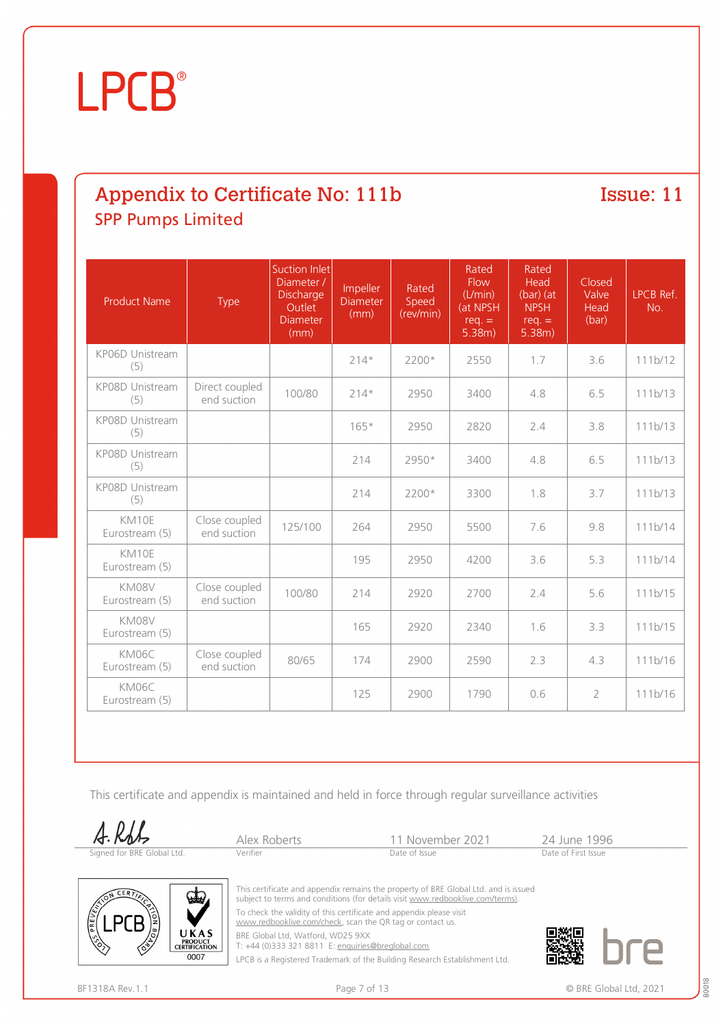# Appendix to Certificate No: 111b SPP Pumps Limited

Issue: 11

| <b>Product Name</b>     | <b>Type</b>                   | Suction Inlet<br>Diameter /<br>Discharge<br>Outlet<br><b>Diameter</b><br>(mm) | Impeller<br><b>Diameter</b><br>(mm) | Rated<br>Speed<br>(rev/min) | Rated<br><b>Flow</b><br>(L/min)<br>(at NPSH<br>$req. =$<br>5.38m) | Rated<br>Head<br>$(bar)$ (at<br><b>NPSH</b><br>$req. =$<br>5.38m) | Closed<br>Valve<br>Head<br>(bar) | LPCB Ref.<br>No. |
|-------------------------|-------------------------------|-------------------------------------------------------------------------------|-------------------------------------|-----------------------------|-------------------------------------------------------------------|-------------------------------------------------------------------|----------------------------------|------------------|
| KP06D Unistream<br>(5)  |                               |                                                                               | $214*$                              | $2200*$                     | 2550                                                              | 1.7                                                               | 3.6                              | 111b/12          |
| KP08D Unistream<br>(5)  | Direct coupled<br>end suction | 100/80                                                                        | $214*$                              | 2950                        | 3400                                                              | 4.8                                                               | 6.5                              | 111b/13          |
| KP08D Unistream<br>(5)  |                               |                                                                               | $165*$                              | 2950                        | 2820                                                              | 2.4                                                               | 3.8                              | 111b/13          |
| KP08D Unistream<br>(5)  |                               |                                                                               | 214                                 | 2950*                       | 3400                                                              | 4.8                                                               | 6.5                              | 111b/13          |
| KP08D Unistream<br>(5)  |                               |                                                                               | 214                                 | $2200*$                     | 3300                                                              | 1.8                                                               | 3.7                              | 111b/13          |
| KM10E<br>Eurostream (5) | Close coupled<br>end suction  | 125/100                                                                       | 264                                 | 2950                        | 5500                                                              | 7.6                                                               | 9.8                              | 111b/14          |
| KM10E<br>Eurostream (5) |                               |                                                                               | 195                                 | 2950                        | 4200                                                              | 3.6                                                               | 5.3                              | 111b/14          |
| KM08V<br>Eurostream (5) | Close coupled<br>end suction  | 100/80                                                                        | 214                                 | 2920                        | 2700                                                              | 2.4                                                               | 5.6                              | 111b/15          |
| KM08V<br>Eurostream (5) |                               |                                                                               | 165                                 | 2920                        | 2340                                                              | 1.6                                                               | 3.3                              | 111b/15          |
| KM06C<br>Eurostream (5) | Close coupled<br>end suction  | 80/65                                                                         | 174                                 | 2900                        | 2590                                                              | 2.3                                                               | 4.3                              | 111b/16          |
| KM06C<br>Eurostream (5) |                               |                                                                               | 125                                 | 2900                        | 1790                                                              | 0.6                                                               | $\overline{2}$                   | 111b/16          |

This certificate and appendix is maintained and held in force through regular surveillance activities





Alex Roberts 11 November 2021 24 June 1996<br>
Verifier Date of Issue Date of Issue



This certificate and appendix remains the property of BRE Global Ltd. and is issued subject to terms and conditions (for details visit [www.redbooklive.com/terms\)](http://www.redbooklive.com/terms)). To check the validity of this certificate and appendix please visit

[www.redbooklive.com/check,](http://www.redbooklive.com/check) scan the QR tag or contact us.

BRE Global Ltd, Watford, WD25 9XX

T: +44 (0)333 321 8811 E: [enquiries@breglobal.com](mailto:enquiries@breglobal.com)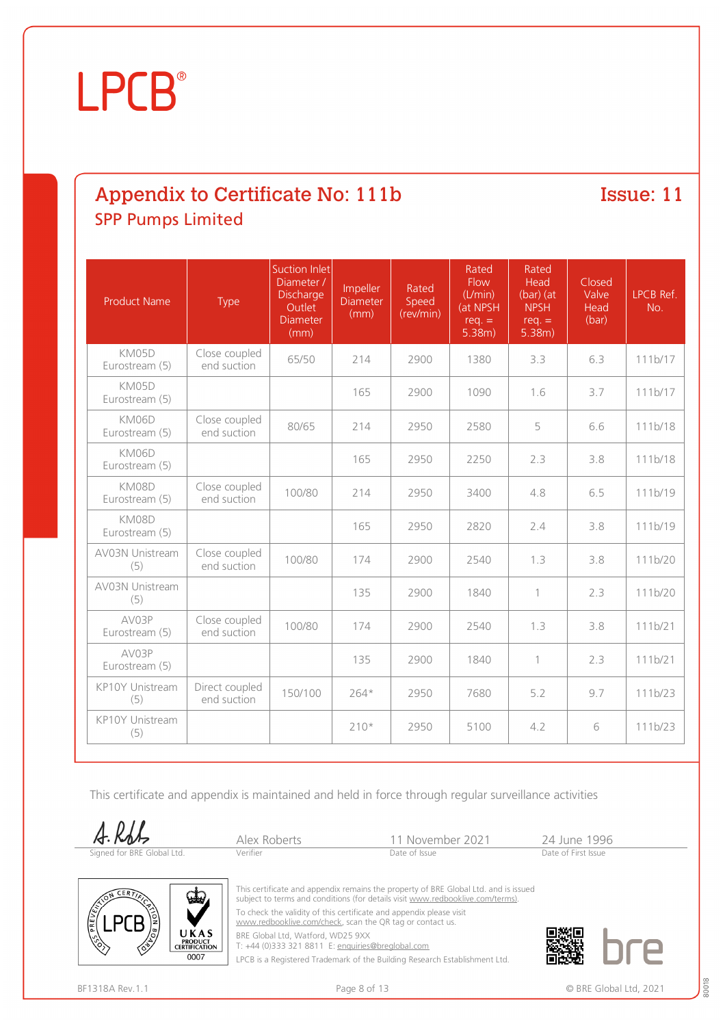# Appendix to Certificate No: 111b SPP Pumps Limited

Issue: 11

| <b>Product Name</b>           | Type                          | Suction Inlet<br>Diameter /<br>Discharge<br>Outlet<br><b>Diameter</b><br>(mm) | Impeller<br><b>Diameter</b><br>(mm) | Rated<br>Speed<br>(rev/min) | Rated<br><b>Flow</b><br>(L/min)<br>(at NPSH<br>$req. =$<br>5.38m) | Rated<br>Head<br>$(bar)$ (at<br><b>NPSH</b><br>$req. =$<br>5.38m) | Closed<br>Valve<br>Head<br>(bar) | LPCB Ref.<br>No. |
|-------------------------------|-------------------------------|-------------------------------------------------------------------------------|-------------------------------------|-----------------------------|-------------------------------------------------------------------|-------------------------------------------------------------------|----------------------------------|------------------|
| KM05D<br>Eurostream (5)       | Close coupled<br>end suction  | 65/50                                                                         | 214                                 | 2900                        | 1380                                                              | 3.3                                                               | 6.3                              | 111b/17          |
| KM05D<br>Eurostream (5)       |                               |                                                                               | 165                                 | 2900                        | 1090                                                              | 1.6                                                               | 3.7                              | 111b/17          |
| KM06D<br>Eurostream (5)       | Close coupled<br>end suction  | 80/65                                                                         | 214                                 | 2950                        | 2580                                                              | 5                                                                 | 6.6                              | 111b/18          |
| KM06D<br>Eurostream (5)       |                               |                                                                               | 165                                 | 2950                        | 2250                                                              | 2.3                                                               | 3.8                              | 111b/18          |
| KM08D<br>Eurostream (5)       | Close coupled<br>end suction  | 100/80                                                                        | 214                                 | 2950                        | 3400                                                              | 4.8                                                               | 6.5                              | 111b/19          |
| KM08D<br>Eurostream (5)       |                               |                                                                               | 165                                 | 2950                        | 2820                                                              | 2.4                                                               | 3.8                              | 111b/19          |
| <b>AV03N Unistream</b><br>(5) | Close coupled<br>end suction  | 100/80                                                                        | 174                                 | 2900                        | 2540                                                              | 1.3                                                               | 3.8                              | 111b/20          |
| AV03N Unistream<br>(5)        |                               |                                                                               | 135                                 | 2900                        | 1840                                                              | $\mathbf{1}$                                                      | 2.3                              | 111b/20          |
| AV03P<br>Eurostream (5)       | Close coupled<br>end suction  | 100/80                                                                        | 174                                 | 2900                        | 2540                                                              | 1.3                                                               | 3.8                              | 111b/21          |
| AV03P<br>Eurostream (5)       |                               |                                                                               | 135                                 | 2900                        | 1840                                                              | $\mathbf{1}$                                                      | 2.3                              | 111b/21          |
| KP10Y Unistream<br>(5)        | Direct coupled<br>end suction | 150/100                                                                       | $264*$                              | 2950                        | 7680                                                              | 5.2                                                               | 9.7                              | 111b/23          |
| KP10Y Unistream<br>(5)        |                               |                                                                               | $210*$                              | 2950                        | 5100                                                              | 4.2                                                               | 6                                | 111b/23          |

This certificate and appendix is maintained and held in force through regular surveillance activities

A.RSL Signed for BRE Global Ltd.

| Alex Rob |
|----------|
| Verifier |
|          |

Perts 11 November 2021 24 June 1996<br>Date of Issue Date of Issue



This certificate and appendix remains the property of BRE Global Ltd. and is issued subject to terms and conditions (for details visit [www.redbooklive.com/terms\)](http://www.redbooklive.com/terms)).

To check the validity of this certificate and appendix please visit [www.redbooklive.com/check,](http://www.redbooklive.com/check) scan the QR tag or contact us.

BRE Global Ltd, Watford, WD25 9XX

T: +44 (0)333 321 8811 E: [enquiries@breglobal.com](mailto:enquiries@breglobal.com)

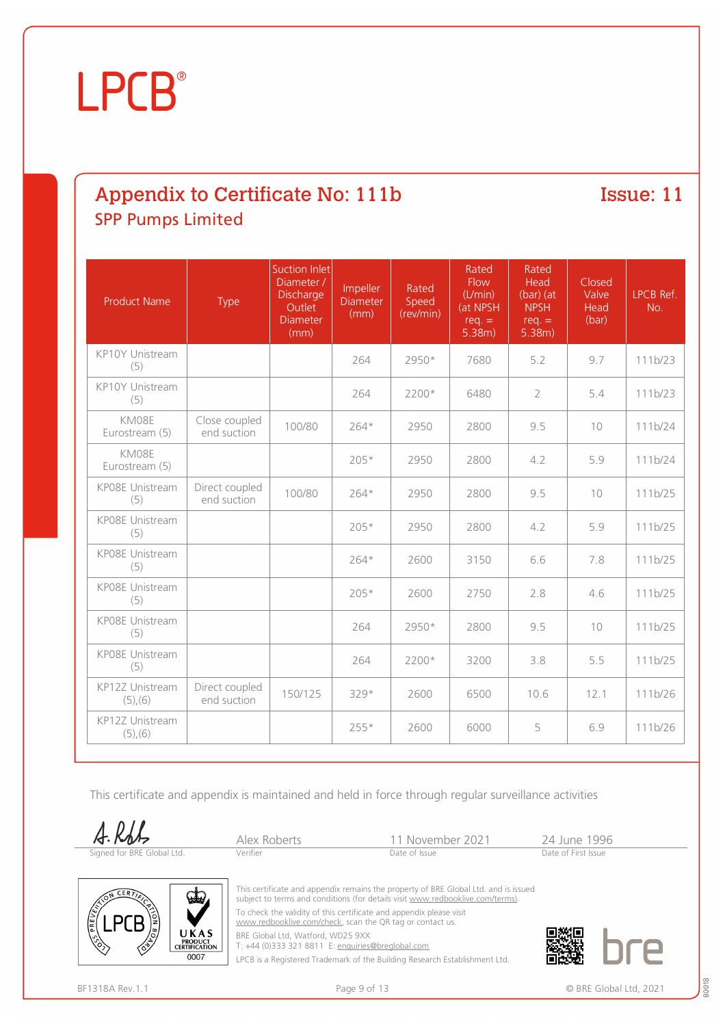# Appendix to Certificate No: 111b SPP Pumps Limited

Issue: 11

| <b>Product Name</b>              | Type                          | Suction Inlet<br>Diameter /<br><b>Discharge</b><br>Outlet<br><b>Diameter</b><br>(mm) | Impeller<br><b>Diameter</b><br>(mm) | Rated<br>Speed<br>(rev/min) | Rated<br><b>Flow</b><br>(L/min)<br>(at NPSH<br>$req. =$<br>5.38m) | Rated<br>Head<br>$(bar)$ (at<br><b>NPSH</b><br>$req. =$<br>5.38m) | Closed<br>Valve<br>Head<br>(bar) | LPCB Ref.<br>No. |
|----------------------------------|-------------------------------|--------------------------------------------------------------------------------------|-------------------------------------|-----------------------------|-------------------------------------------------------------------|-------------------------------------------------------------------|----------------------------------|------------------|
| KP10Y Unistream<br>(5)           |                               |                                                                                      | 264                                 | 2950*                       | 7680                                                              | 5.2                                                               | 9.7                              | 111b/23          |
| KP10Y Unistream<br>(5)           |                               |                                                                                      | 264                                 | 2200*                       | 6480                                                              | $\overline{2}$                                                    | 5.4                              | 111b/23          |
| KM08E<br>Eurostream (5)          | Close coupled<br>end suction  | 100/80                                                                               | $264*$                              | 2950                        | 2800                                                              | 9.5                                                               | 10                               | 111b/24          |
| KM08E<br>Eurostream (5)          |                               |                                                                                      | 205*                                | 2950                        | 2800                                                              | 4.2                                                               | 5.9                              | 111b/24          |
| KP08E Unistream<br>(5)           | Direct coupled<br>end suction | 100/80                                                                               | 264*                                | 2950                        | 2800                                                              | 9.5                                                               | 10                               | 111b/25          |
| KP08E Unistream<br>(5)           |                               |                                                                                      | $205*$                              | 2950                        | 2800                                                              | 4.2                                                               | 5.9                              | 111b/25          |
| KP08E Unistream<br>(5)           |                               |                                                                                      | $264*$                              | 2600                        | 3150                                                              | 6.6                                                               | 7.8                              | 111b/25          |
| KP08E Unistream<br>(5)           |                               |                                                                                      | 205*                                | 2600                        | 2750                                                              | 2.8                                                               | 4.6                              | 111b/25          |
| KP08E Unistream<br>(5)           |                               |                                                                                      | 264                                 | 2950*                       | 2800                                                              | 9.5                                                               | 10                               | 111b/25          |
| KP08E Unistream<br>(5)           |                               |                                                                                      | 264                                 | $2200*$                     | 3200                                                              | 3.8                                                               | 5.5                              | 111b/25          |
| KP12Z Unistream<br>$(5)$ , $(6)$ | Direct coupled<br>end suction | 150/125                                                                              | 329*                                | 2600                        | 6500                                                              | 10.6                                                              | 12.1                             | 111b/26          |
| KP12Z Unistream<br>$(5)$ , $(6)$ |                               |                                                                                      | 255*                                | 2600                        | 6000                                                              | 5                                                                 | 6.9                              | 111b/26          |

This certificate and appendix is maintained and held in force through regular surveillance activities

A.Rdt



Alex Roberts 11 November 2021 24 June 1996<br>
Verifier Date of Issue Date of Issue



This certificate and appendix remains the property of BRE Global Ltd. and is issued subject to terms and conditions (for details visit [www.redbooklive.com/terms\)](http://www.redbooklive.com/terms)).

To check the validity of this certificate and appendix please visit [www.redbooklive.com/check,](http://www.redbooklive.com/check) scan the QR tag or contact us.

BRE Global Ltd, Watford, WD25 9XX

T: +44 (0)333 321 8811 E: [enquiries@breglobal.com](mailto:enquiries@breglobal.com)

LPCB is a Registered Trademark of the Building Research Establishment Ltd.

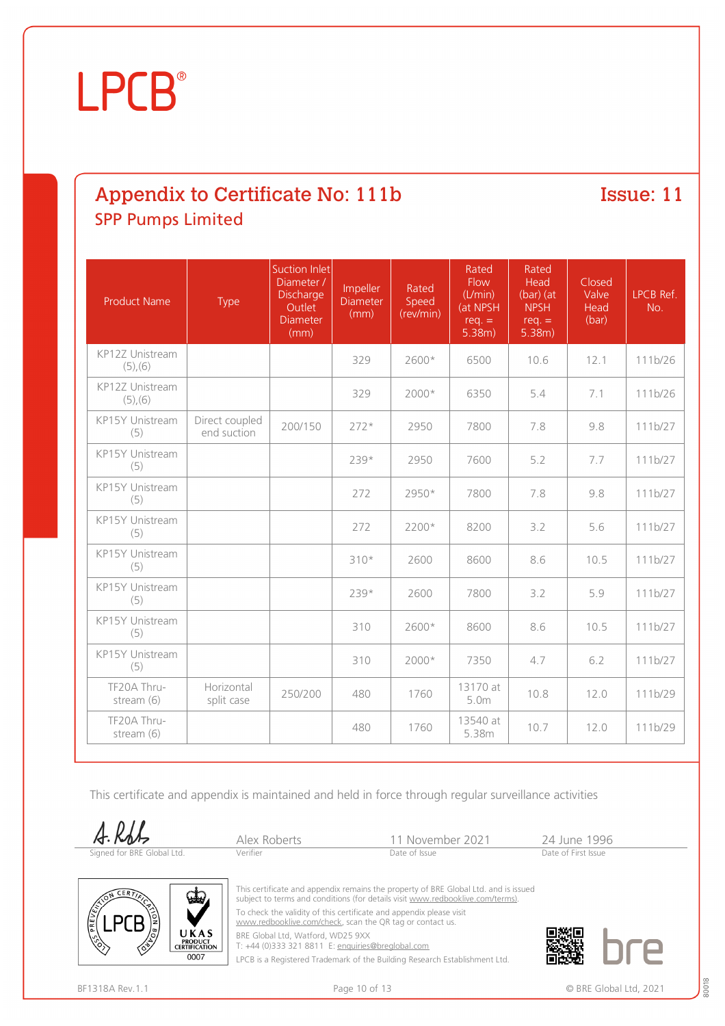# Appendix to Certificate No: 111b SPP Pumps Limited

Issue: 11

| <b>Product Name</b>              | Type                          | Suction Inlet<br>Diameter /<br>Discharge<br>Outlet<br><b>Diameter</b><br>(mm) | Impeller<br><b>Diameter</b><br>(mm) | Rated<br>Speed<br>(rev/min) | Rated<br>Flow<br>(L/min)<br>(at NPSH<br>$req. =$<br>5.38m) | Rated<br>Head<br>$(bar)$ (at<br><b>NPSH</b><br>$req. =$<br>5.38m) | Closed<br>Valve<br>Head<br>(bar) | LPCB Ref.<br>No. |
|----------------------------------|-------------------------------|-------------------------------------------------------------------------------|-------------------------------------|-----------------------------|------------------------------------------------------------|-------------------------------------------------------------------|----------------------------------|------------------|
| KP12Z Unistream<br>$(5)$ , $(6)$ |                               |                                                                               | 329                                 | 2600*                       | 6500                                                       | 10.6                                                              | 12.1                             | 111b/26          |
| KP12Z Unistream<br>$(5)$ , $(6)$ |                               |                                                                               | 329                                 | $2000*$                     | 6350                                                       | 5.4                                                               | 7.1                              | 111b/26          |
| KP15Y Unistream<br>(5)           | Direct coupled<br>end suction | 200/150                                                                       | $272*$                              | 2950                        | 7800                                                       | 7.8                                                               | 9.8                              | 111b/27          |
| KP15Y Unistream<br>(5)           |                               |                                                                               | 239*                                | 2950                        | 7600                                                       | 5.2                                                               | 7.7                              | 111b/27          |
| KP15Y Unistream<br>(5)           |                               |                                                                               | 272                                 | 2950*                       | 7800                                                       | 7.8                                                               | 9.8                              | 111b/27          |
| KP15Y Unistream<br>(5)           |                               |                                                                               | 272                                 | 2200*                       | 8200                                                       | 3.2                                                               | 5.6                              | 111b/27          |
| KP15Y Unistream<br>(5)           |                               |                                                                               | $310*$                              | 2600                        | 8600                                                       | 8.6                                                               | 10.5                             | 111b/27          |
| KP15Y Unistream<br>(5)           |                               |                                                                               | 239*                                | 2600                        | 7800                                                       | 3.2                                                               | 5.9                              | 111b/27          |
| KP15Y Unistream<br>(5)           |                               |                                                                               | 310                                 | 2600*                       | 8600                                                       | 8.6                                                               | 10.5                             | 111b/27          |
| KP15Y Unistream<br>(5)           |                               |                                                                               | 310                                 | $2000*$                     | 7350                                                       | 4.7                                                               | 6.2                              | 111b/27          |
| TF20A Thru-<br>stream (6)        | Horizontal<br>split case      | 250/200                                                                       | 480                                 | 1760                        | 13170 at<br>5.0m                                           | 10.8                                                              | 12.0                             | 111b/29          |
| TF20A Thru-<br>stream (6)        |                               |                                                                               | 480                                 | 1760                        | 13540 at<br>5.38m                                          | 10.7                                                              | 12.0                             | 111b/29          |

This certificate and appendix is maintained and held in force through regular surveillance activities



| A.RbL                      |              |                  |                     |
|----------------------------|--------------|------------------|---------------------|
|                            | Alex Roberts | 11 November 2021 | 24 June 199         |
| Signed for BRE Global Ltd. | Verifier     | Date of Issue    | Date of First Issue |



This certificate and appendix remains the property of BRE Global Ltd. and is issued subject to terms and conditions (for details visit [www.redbooklive.com/terms\)](http://www.redbooklive.com/terms)).

To check the validity of this certificate and appendix please visit [www.redbooklive.com/check,](http://www.redbooklive.com/check) scan the QR tag or contact us.

BRE Global Ltd, Watford, WD25 9XX T: +44 (0)333 321 8811 E: [enquiries@breglobal.com](mailto:enquiries@breglobal.com)

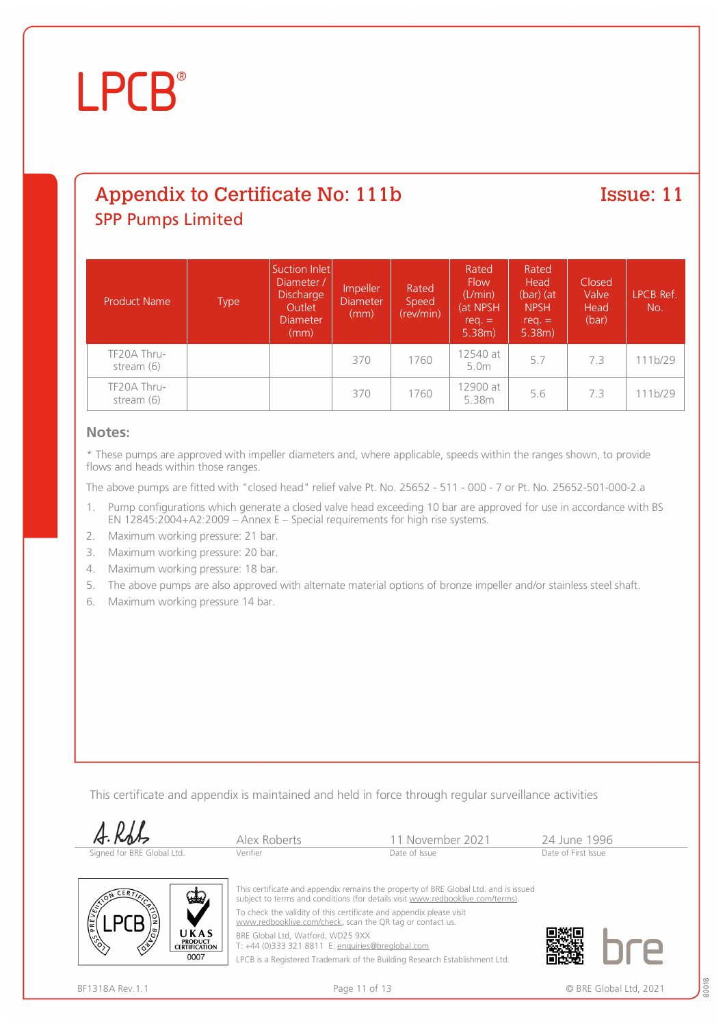# **LPCB**

# Appendix to Certificate No: 111b SPP Pumps Limited

#### Issue: 11

| <b>Product Name</b>         | <b>Type</b> | Suction Inlet<br>Diameter /<br>Discharge<br>Outlet<br><b>Diameter</b><br>(mm) | Impeller<br><b>Diameter</b><br>(mm) | Rated<br>Speed<br>(rev/min) | Rated<br><b>Flow</b><br>(L/min)<br>(at NPSH<br>$req. =$<br>$5.38m$ ) | Rated<br>Head<br>$(bar)$ (at<br><b>NPSH</b><br>$req. =$<br>$5.38m$ ) | Closed<br>Valve<br>Head<br>(bar) | LPCB Ref.<br>No. |
|-----------------------------|-------------|-------------------------------------------------------------------------------|-------------------------------------|-----------------------------|----------------------------------------------------------------------|----------------------------------------------------------------------|----------------------------------|------------------|
| TF20A Thru-<br>stream (6)   |             |                                                                               | 370                                 | 1760                        | 12540 at<br>5.0m                                                     | 5.7                                                                  | 7.3                              | 111b/29          |
| TF20A Thru-<br>stream $(6)$ |             |                                                                               | 370                                 | 1760                        | 12900 at<br>5.38m                                                    | 5.6                                                                  | 7.3                              | 111b/29          |

#### **Notes:**

\* These pumps are approved with impeller diameters and, where applicable, speeds within the ranges shown, to provide flows and heads within those ranges.

The above pumps are fitted with "closed head" relief valve Pt. No. 25652 - 511 - 000 - 7 or Pt. No. 25652-501-000-2.a

- 1. Pump configurations which generate a closed valve head exceeding 10 bar are approved for use in accordance with BS EN 12845:2004+A2:2009 – Annex E – Special requirements for high rise systems.
- 2. Maximum working pressure: 21 bar.
- 3. Maximum working pressure: 20 bar.
- 4. Maximum working pressure: 18 bar.
- 5. The above pumps are also approved with alternate material options of bronze impeller and/or stainless steel shaft.
- 6. Maximum working pressure 14 bar.

This certificate and appendix is maintained and held in force through regular surveillance activities

| A.RbL                      | Alex Roberts | 11 November 2021 | 24 June 1996        |  |
|----------------------------|--------------|------------------|---------------------|--|
| Signed for BRE Global Ltd. | Verifier     | Date of Issue    | Date of First Issue |  |



This certificate and appendix remains the property of BRE Global Ltd. and is issued subject to terms and conditions (for details visit [www.redbooklive.com/terms\)](http://www.redbooklive.com/terms)). To check the validity of this certificate and appendix please visit

[www.redbooklive.com/check,](http://www.redbooklive.com/check) scan the QR tag or contact us.

BRE Global Ltd, Watford, WD25 9XX T: +44 (0)333 321 8811 E: [enquiries@breglobal.com](mailto:enquiries@breglobal.com)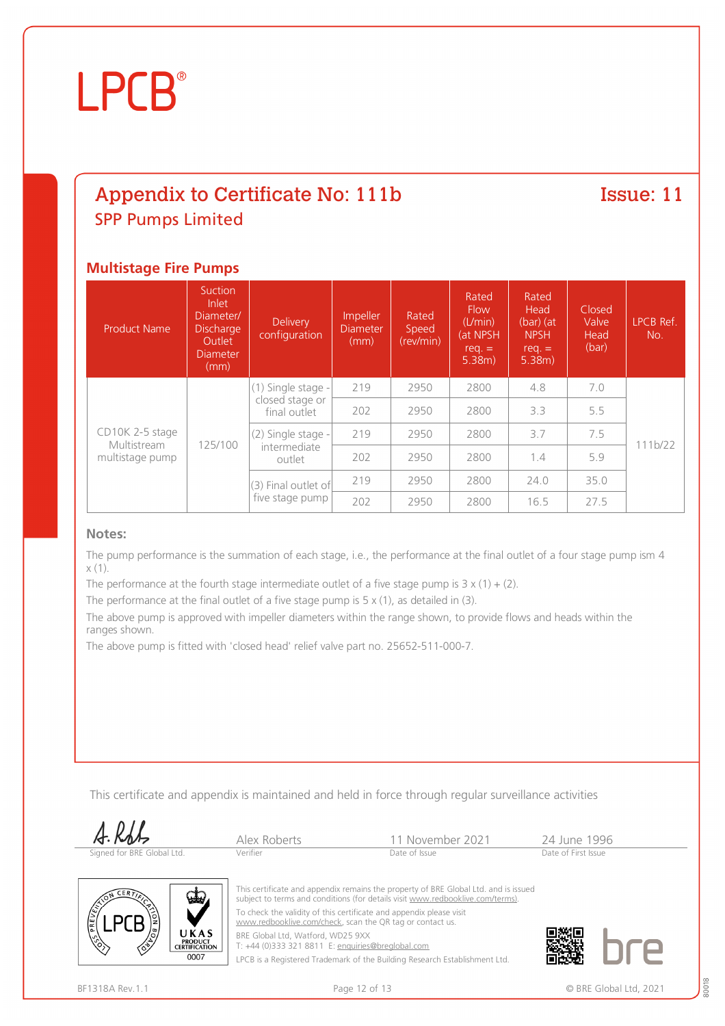### Appendix to Certificate No: 111b SPP Pumps Limited

#### Issue: 11

#### **Multistage Fire Pumps**

| <b>Product Name</b>                               | Suction<br>Inlet<br>Diameter/<br><b>Discharge</b><br>Outlet<br><b>Diameter</b><br>(mm) | <b>Delivery</b><br>configuration             | Impeller<br><b>Diameter</b><br>(mm) | Rated<br>Speed<br>(rev/min) | Rated<br><b>Flow</b><br>(L/min)<br>(at NPSH<br>$req. =$<br>5.38m) | Rated<br>Head<br>$(bar)$ (at<br><b>NPSH</b><br>$req. =$<br>5.38m) | Closed<br>Valve<br>Head<br>(bar) | LPCB Ref.<br>No. |
|---------------------------------------------------|----------------------------------------------------------------------------------------|----------------------------------------------|-------------------------------------|-----------------------------|-------------------------------------------------------------------|-------------------------------------------------------------------|----------------------------------|------------------|
| CD10K 2-5 stage<br>Multistream<br>multistage pump | 125/100                                                                                | (1) Single stage -                           | 219                                 | 2950                        | 2800                                                              | 4.8                                                               | 7.0                              |                  |
|                                                   |                                                                                        | closed stage or<br>final outlet              | 202                                 | 2950                        | 2800                                                              | 3.3                                                               | 5.5                              |                  |
|                                                   |                                                                                        | (2) Single stage -<br>intermediate<br>outlet | 219                                 | 2950                        | 2800                                                              | 3.7                                                               | 7.5                              |                  |
|                                                   |                                                                                        |                                              | 202                                 | 2950                        | 2800                                                              | 1.4                                                               | 5.9                              | 111b/22          |
|                                                   |                                                                                        | (3) Final outlet of<br>five stage pump       | 219                                 | 2950                        | 2800                                                              | 24.0                                                              | 35.0                             |                  |
|                                                   |                                                                                        |                                              | 202                                 | 2950                        | 2800                                                              | 16.5                                                              | 27.5                             |                  |

#### **Notes:**

The pump performance is the summation of each stage, i.e., the performance at the final outlet of a four stage pump ism 4  $x(1)$ .

The performance at the fourth stage intermediate outlet of a five stage pump is  $3 \times (1) + (2)$ .

The performance at the final outlet of a five stage pump is  $5 \times (1)$ , as detailed in (3).

The above pump is approved with impeller diameters within the range shown, to provide flows and heads within the ranges shown.

The above pump is fitted with 'closed head' relief valve part no. 25652-511-000-7.

This certificate and appendix is maintained and held in force through regular surveillance activities

| A.Rdts                     | Alex Roberts | 11 November 2021 | 24 June 1996        |  |
|----------------------------|--------------|------------------|---------------------|--|
| Signed for BRE Global Ltd. | Verifier     | Date of Issue    | Date of First Issue |  |



This certificate and appendix remains the property of BRE Global Ltd. and is issued subject to terms and conditions (for details visit [www.redbooklive.com/terms\)](http://www.redbooklive.com/terms)). To check the validity of this certificate and appendix please visit [www.redbooklive.com/check,](http://www.redbooklive.com/check) scan the QR tag or contact us.

BRE Global Ltd, Watford, WD25 9XX T: +44 (0)333 321 8811 E: [enquiries@breglobal.com](mailto:enquiries@breglobal.com)

LPCB is a Registered Trademark of the Building Research Establishment Ltd.